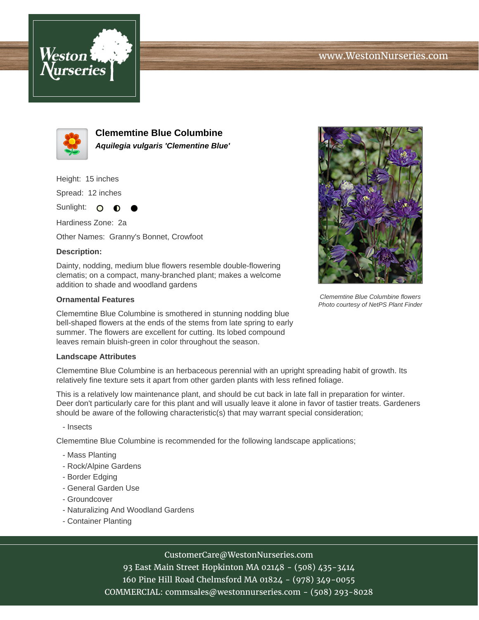



**Clememtine Blue Columbine Aquilegia vulgaris 'Clementine Blue'**

Height: 15 inches

Spread: 12 inches

Sunlight: O  $\bullet$ 

Hardiness Zone: 2a

Other Names: Granny's Bonnet, Crowfoot

### **Description:**

Dainty, nodding, medium blue flowers resemble double-flowering clematis; on a compact, many-branched plant; makes a welcome addition to shade and woodland gardens

#### **Ornamental Features**

Clememtine Blue Columbine is smothered in stunning nodding blue bell-shaped flowers at the ends of the stems from late spring to early summer. The flowers are excellent for cutting. Its lobed compound leaves remain bluish-green in color throughout the season.

#### **Landscape Attributes**

Clememtine Blue Columbine is an herbaceous perennial with an upright spreading habit of growth. Its relatively fine texture sets it apart from other garden plants with less refined foliage.

This is a relatively low maintenance plant, and should be cut back in late fall in preparation for winter. Deer don't particularly care for this plant and will usually leave it alone in favor of tastier treats. Gardeners should be aware of the following characteristic(s) that may warrant special consideration;

- Insects

Clememtine Blue Columbine is recommended for the following landscape applications;

- Mass Planting
- Rock/Alpine Gardens
- Border Edging
- General Garden Use
- Groundcover
- Naturalizing And Woodland Gardens
- Container Planting



# CustomerCare@WestonNurseries.com

93 East Main Street Hopkinton MA 02148 - (508) 435-3414 160 Pine Hill Road Chelmsford MA 01824 - (978) 349-0055 COMMERCIAL: commsales@westonnurseries.com - (508) 293-8028



Clememtine Blue Columbine flowers Photo courtesy of NetPS Plant Finder